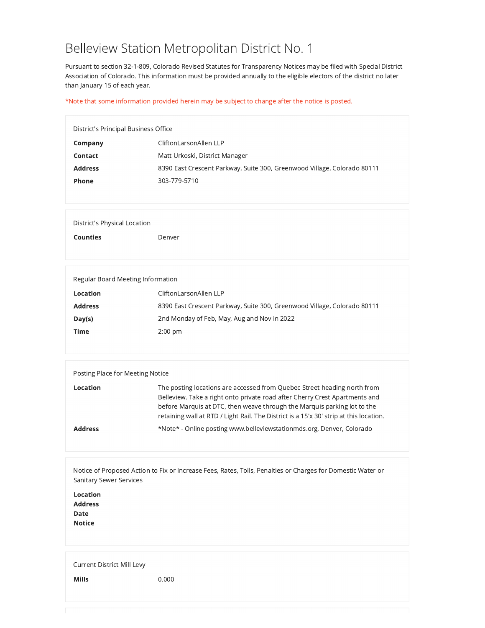## Belleview Station Metropolitan District No. 1

Pursuant to section 32-1-809, Colorado Revised Statutes for Transparency Notices may be filed with Special District Association of Colorado. This information must be provided annually to the eligible electors of the district no later than January 15 of each year.

## \*Note that some information provided herein may be subject to change after the notice is posted.

| District's Principal Business Office |                                                                          |  |
|--------------------------------------|--------------------------------------------------------------------------|--|
| Company                              | CliftonLarsonAllen LLP                                                   |  |
| Contact                              | Matt Urkoski, District Manager                                           |  |
| <b>Address</b>                       | 8390 East Crescent Parkway, Suite 300, Greenwood Village, Colorado 80111 |  |
| Phone                                | 303-779-5710                                                             |  |

**District's Physical Location** 

**Counties** 

Denver

| Regular Board Meeting Information                                        |  |  |
|--------------------------------------------------------------------------|--|--|
| CliftonLarsonAllen LLP                                                   |  |  |
| 8390 East Crescent Parkway, Suite 300, Greenwood Village, Colorado 80111 |  |  |
| 2nd Monday of Feb, May, Aug and Nov in 2022                              |  |  |
| $2:00$ pm                                                                |  |  |
|                                                                          |  |  |

| Posting Place for Meeting Notice |                                                                                                                                                                                                                                                                                                                               |  |
|----------------------------------|-------------------------------------------------------------------------------------------------------------------------------------------------------------------------------------------------------------------------------------------------------------------------------------------------------------------------------|--|
| Location                         | The posting locations are accessed from Quebec Street heading north from<br>Belleview. Take a right onto private road after Cherry Crest Apartments and<br>before Marquis at DTC, then weave through the Marquis parking lot to the<br>retaining wall at RTD / Light Rail. The District is a 15'x 30' strip at this location. |  |
| <b>Address</b>                   | *Note* - Online posting www.belleviewstationmds.org, Denver, Colorado                                                                                                                                                                                                                                                         |  |

Notice of Proposed Action to Fix or Increase Fees, Rates, Tolls, Penalties or Charges for Domestic Water or Sanitary Sewer Services

Location **Address** Date **Notice** 

Current District Mill Levy

Mills  $0.000$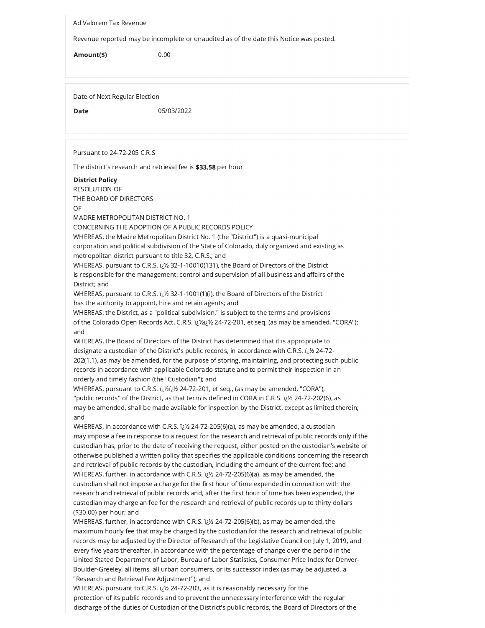Ad Valorem Tax Revenue

Revenue reported may be incomplete or unaudited as of the date this Notice was posted.

 $0.00$ Amount(\$)

Date of Next Regular Election

**Date** 

05/03/2022

Pursuant to 24-72-205 C.R.S

The district's research and retrieval fee is \$33.58 per hour

**District Policy** 

**RESOLUTION OF** THE BOARD OF DIRECTORS

 $\cap$ E

MADRE METROPOLITAN DISTRICT NO. 1

CONCERNING THE ADOPTION OF A PUBLIC RECORDS POLICY

WHEREAS, the Madre Metropolitan District No. 1 (the "District") is a quasi-municipal corporation and political subdivision of the State of Colorado, duly organized and existing as metropolitan district pursuant to title 32, C.R.S.; and

WHEREAS, pursuant to C.R.S.  $i\&&32-1-10010)131$ ), the Board of Directors of the District is responsible for the management, control and supervision of all business and affairs of the District; and

WHEREAS, pursuant to C.R.S. ii 1/2 32-1-1001(1)(i), the Board of Directors of the District has the authority to appoint, hire and retain agents; and

WHEREAS, the District, as a "political subdivision," is subject to the terms and provisions of the Colorado Open Records Act, C.R.S.  $i\chi'$ i $\chi'$ i $\chi$ 24-72-201, et seq. (as may be amended, "CORA"); and

WHEREAS, the Board of Directors of the District has determined that it is appropriate to designate a custodian of the District's public records, in accordance with C.R.S. i<sub>i</sub>/2 24-72-202(1.1), as may be amended, for the purpose of storing, maintaining, and protecting such public records in accordance with applicable Colorado statute and to permit their inspection in an orderly and timely fashion (the "Custodian"); and

WHEREAS, pursuant to C.R.S. (23/2012) 24-72-201, et seq., (as may be amended, "CORA"), "public records" of the District, as that term is defined in CORA in C.R.S. i¿1/2 24-72-202(6), as may be amended, shall be made available for inspection by the District, except as limited therein; and

WHEREAS, in accordance with C.R.S. iz 1/2 24-72-205(6)(a), as may be amended, a custodian may impose a fee in response to a request for the research and retrieval of public records only if the custodian has, prior to the date of receiving the request, either posted on the custodian's website or otherwise published a written policy that specifies the applicable conditions concerning the research and retrieval of public records by the custodian, including the amount of the current fee; and WHEREAS, further, in accordance with C.R.S.  $i\&b2$ -72-205(6)(a), as may be amended, the custodian shall not impose a charge for the first hour of time expended in connection with the research and retrieval of public records and, after the first hour of time has been expended, the custodian may charge an fee for the research and retrieval of public records up to thirty dollars (\$30.00) per hour; and

WHEREAS, further, in accordance with C.R.S.  $i\&b 24$ -72-205(6)(b), as may be amended, the maximum hourly fee that may be charged by the custodian for the research and retrieval of public records may be adjusted by the Director of Research of the Legislative Council on July 1, 2019, and every five years thereafter, in accordance with the percentage of change over the period in the United Stated Department of Labor, Bureau of Labor Statistics, Consumer Price Index for Denver-Boulder-Greeley, all items, all urban consumers, or its successor index (as may be adjusted, a "Research and Retrieval Fee Adjustment"); and

WHEREAS, pursuant to C.R.S. i; 1/2 24-72-203, as it is reasonably necessary for the protection of its public records and to prevent the unnecessary interference with the regular discharge of the duties of Custodian of the District's public records, the Board of Directors of the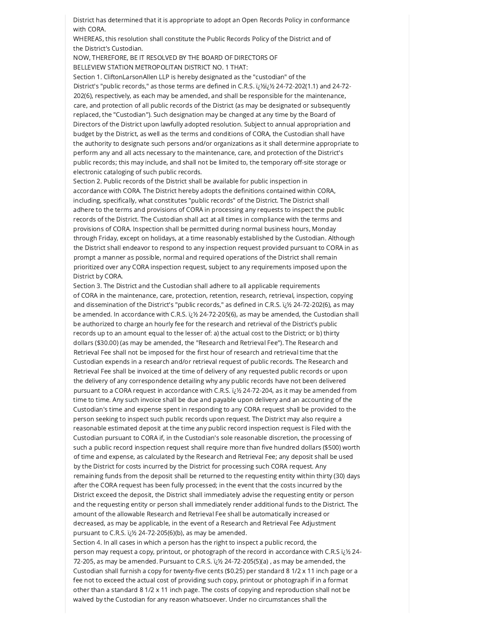District has determined that it is appropriate to adopt an Open Records Policy in conformance with CORA

WHEREAS, this resolution shall constitute the Public Records Policy of the District and of the District's Custodian.

NOW, THEREFORE, BE IT RESOLVED BY THE BOARD OF DIRECTORS OF BELLEVIEW STATION METROPOLITAN DISTRICT NO. 1 THAT:

Section 1. CliftonLarsonAllen LLP is hereby designated as the "custodian" of the District's "public records," as those terms are defined in C.R.S. (زنلارز) 24-72-202(1.1) and 24-72-202(6), respectively, as each may be amended, and shall be responsible for the maintenance, care, and protection of all public records of the District (as may be designated or subsequently replaced, the "Custodian"). Such designation may be changed at any time by the Board of Directors of the District upon lawfully adopted resolution. Subject to annual appropriation and budget by the District, as well as the terms and conditions of CORA, the Custodian shall have the authority to designate such persons and/or organizations as it shall determine appropriate to perform any and all acts necessary to the maintenance, care, and protection of the District's public records; this may include, and shall not be limited to, the temporary off-site storage or electronic cataloging of such public records.

Section 2. Public records of the District shall be available for public inspection in accordance with CORA. The District hereby adopts the definitions contained within CORA, including, specifically, what constitutes "public records" of the District. The District shall adhere to the terms and provisions of CORA in processing any requests to inspect the public records of the District. The Custodian shall act at all times in compliance with the terms and provisions of CORA. Inspection shall be permitted during normal business hours. Monday through Friday, except on holidays, at a time reasonably established by the Custodian. Although the District shall endeavor to respond to any inspection request provided pursuant to CORA in as prompt a manner as possible, normal and required operations of the District shall remain prioritized over any CORA inspection request, subject to any requirements imposed upon the District by CORA.

Section 3. The District and the Custodian shall adhere to all applicable requirements of CORA in the maintenance, care, protection, retention, research, retrieval, inspection, copying and dissemination of the District's "public records," as defined in C.R.S. i¿1/2 24-72-202(6), as may be amended. In accordance with C.R.S. iib 24-72-205(6), as may be amended, the Custodian shall be authorized to charge an hourly fee for the research and retrieval of the District's public records up to an amount equal to the lesser of: a) the actual cost to the District; or b) thirty dollars (\$30.00) (as may be amended, the "Research and Retrieval Fee"). The Research and Retrieval Fee shall not be imposed for the first hour of research and retrieval time that the Custodian expends in a research and/or retrieval request of public records. The Research and Retrieval Fee shall be invoiced at the time of delivery of any requested public records or upon the delivery of any correspondence detailing why any public records have not been delivered pursuant to a CORA request in accordance with C.R.S. i¿1⁄2 24-72-204, as it may be amended from time to time. Any such invoice shall be due and payable upon delivery and an accounting of the Custodian's time and expense spent in responding to any CORA request shall be provided to the person seeking to inspect such public records upon request. The District may also require a reasonable estimated deposit at the time any public record inspection request is Filed with the Custodian pursuant to CORA if, in the Custodian's sole reasonable discretion, the processing of such a public record inspection request shall require more than five hundred dollars (\$500) worth of time and expense, as calculated by the Research and Retrieval Fee; any deposit shall be used by the District for costs incurred by the District for processing such CORA request. Any remaining funds from the deposit shall be returned to the requesting entity within thirty (30) days after the CORA request has been fully processed; in the event that the costs incurred by the District exceed the deposit, the District shall immediately advise the requesting entity or person and the requesting entity or person shall immediately render additional funds to the District. The amount of the allowable Research and Retrieval Fee shall be automatically increased or decreased, as may be applicable, in the event of a Research and Retrieval Fee Adjustment pursuant to C.R.S. i¿1⁄2 24-72-205(6)(b), as may be amended.

Section 4. In all cases in which a person has the right to inspect a public record, the person may request a copy, printout, or photograph of the record in accordance with C.R.S i; 1/2 24-72-205, as may be amended. Pursuant to C.R.S.  $i/2$  24-72-205(5)(a), as may be amended, the Custodian shall furnish a copy for twenty-five cents (\$0.25) per standard 8 1/2 x 11 inch page or a fee not to exceed the actual cost of providing such copy, printout or photograph if in a format other than a standard 8 1/2 x 11 inch page. The costs of copying and reproduction shall not be waived by the Custodian for any reason whatsoever. Under no circumstances shall the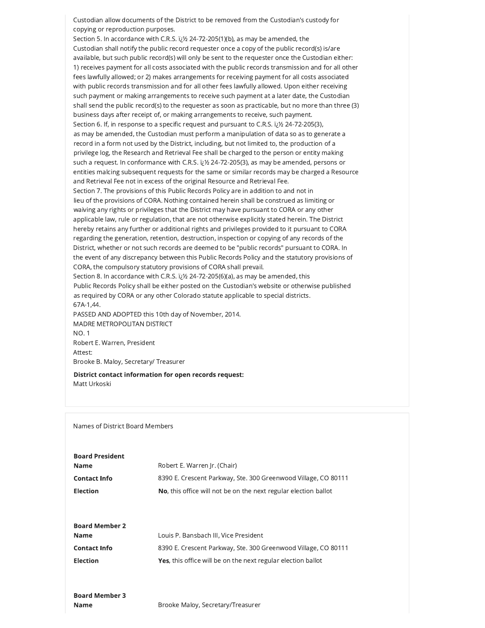Custodian allow documents of the District to be removed from the Custodian's custody for copying or reproduction purposes.

Section 5. In accordance with C.R.S. ii 1/2 24-72-205(1)(b), as may be amended, the Custodian shall notify the public record requester once a copy of the public record(s) is/are available, but such public record(s) will only be sent to the requester once the Custodian either: 1) receives payment for all costs associated with the public records transmission and for all other fees lawfully allowed; or 2) makes arrangements for receiving payment for all costs associated with public records transmission and for all other fees lawfully allowed. Upon either receiving such payment or making arrangements to receive such payment at a later date, the Custodian shall send the public record(s) to the requester as soon as practicable, but no more than three (3) business days after receipt of, or making arrangements to receive, such payment. Section 6. If, in response to a specific request and pursuant to C.R.S.  $i/2$  24-72-205(3), as may be amended, the Custodian must perform a manipulation of data so as to generate a record in a form not used by the District, including, but not limited to, the production of a privilege log, the Research and Retrieval Fee shall be charged to the person or entity making such a request. In conformance with C.R.S.  $i/2$  24-72-205(3), as may be amended, persons or entities malcing subsequent requests for the same or similar records may be charged a Resource and Retrieval Fee not in excess of the original Resource and Retrieval Fee. Section 7. The provisions of this Public Records Policy are in addition to and not in lieu of the provisions of CORA. Nothing contained herein shall be construed as limiting or waiving any rights or privileges that the District may have pursuant to CORA or any other applicable law, rule or regulation, that are not otherwise explicitly stated herein. The District hereby retains any further or additional rights and privileges provided to it pursuant to CORA regarding the generation, retention, destruction, inspection or copying of any records of the District, whether or not such records are deemed to be "public records" pursuant to CORA. In the event of any discrepancy between this Public Records Policy and the statutory provisions of CORA, the compulsory statutory provisions of CORA shall prevail. Section 8. In accordance with C.R.S.  $i/2$  24-72-205(6)(a), as may be amended, this Public Records Policy shall be either posted on the Custodian's website or otherwise published

as required by CORA or any other Colorado statute applicable to special districts. 67A-1,44.

PASSED AND ADOPTED this 10th day of November, 2014. MADRE METROPOLITAN DISTRICT **NO.1** Robert E. Warren, President Attest: Brooke B. Maloy, Secretary/ Treasurer

District contact information for open records request: Matt Urkoski

Names of District Board Members

| Robert E. Warren Ir. (Chair)                                            |
|-------------------------------------------------------------------------|
| 8390 E. Crescent Parkway, Ste. 300 Greenwood Village, CO 80111          |
| <b>No</b> , this office will not be on the next regular election ballot |
|                                                                         |

| <b>Board Member 2</b> |                                                                      |
|-----------------------|----------------------------------------------------------------------|
| Name                  | Louis P. Bansbach III, Vice President                                |
| <b>Contact Info</b>   | 8390 E. Crescent Parkway, Ste. 300 Greenwood Village, CO 80111       |
| <b>Election</b>       | <b>Yes</b> , this office will be on the next regular election ballot |

Brooke Maloy, Secretary/Treasurer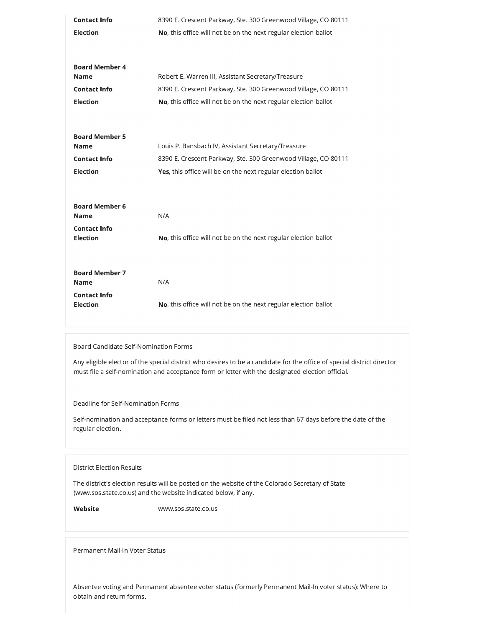| <b>Contact Info</b>                  | 8390 E. Crescent Parkway, Ste. 300 Greenwood Village, CO 80111  |
|--------------------------------------|-----------------------------------------------------------------|
| <b>Election</b>                      | No, this office will not be on the next regular election ballot |
|                                      |                                                                 |
| <b>Board Member 4</b>                |                                                                 |
| <b>Name</b>                          | Robert E. Warren III, Assistant Secretary/Treasure              |
| <b>Contact Info</b>                  | 8390 E. Crescent Parkway, Ste. 300 Greenwood Village, CO 80111  |
| <b>Election</b>                      | No, this office will not be on the next regular election ballot |
|                                      |                                                                 |
| <b>Board Member 5</b>                |                                                                 |
| <b>Name</b>                          | Louis P. Bansbach IV, Assistant Secretary/Treasure              |
| <b>Contact Info</b>                  | 8390 E. Crescent Parkway, Ste. 300 Greenwood Village, CO 80111  |
|                                      |                                                                 |
| <b>Election</b>                      | Yes, this office will be on the next regular election ballot    |
|                                      |                                                                 |
|                                      |                                                                 |
| <b>Board Member 6</b><br><b>Name</b> | N/A                                                             |
| <b>Contact Info</b>                  |                                                                 |
| <b>Election</b>                      | No, this office will not be on the next regular election ballot |
|                                      |                                                                 |
| <b>Board Member 7</b>                |                                                                 |
| <b>Name</b>                          | N/A                                                             |
| <b>Contact Info</b>                  |                                                                 |
| <b>Election</b>                      | No, this office will not be on the next regular election ballot |

Board Candidate Self-Nomination Forms

Any eligible elector of the special district who desires to be a candidate for the office of special district director must file a self-nomination and acceptance form or letter with the designated election official.

Deadline for Self-Nomination Forms

Self-nomination and acceptance forms or letters must be filed not less than 67 days before the date of the regular election.

## **District Election Results**

The district's election results will be posted on the website of the Colorado Secretary of State (www.sos.state.co.us) and the website indicated below, if any.

Website

www.sos.state.co.us

Permanent Mail-In Voter Status

Absentee voting and Permanent absentee voter status (formerly Permanent Mail-In voter status): Where to obtain and return forms.